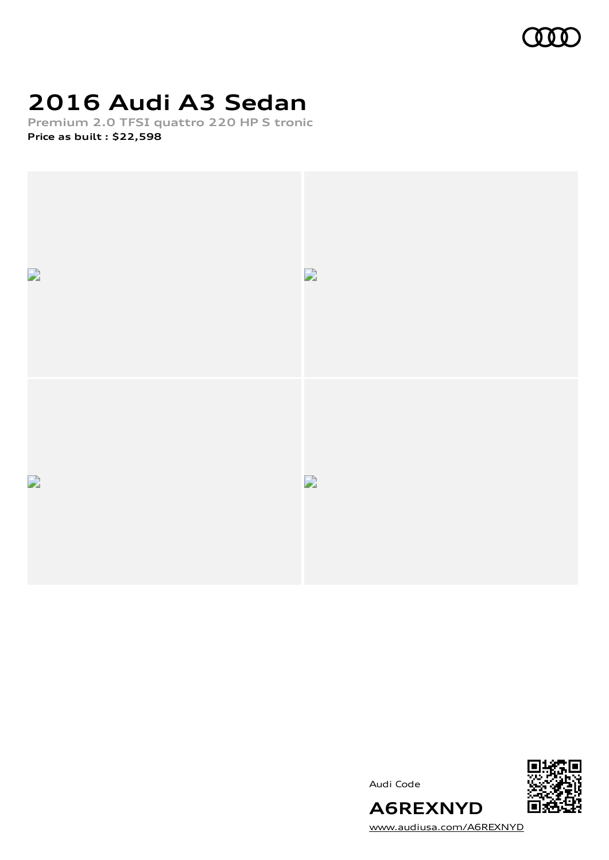

## **2016 Audi A3 Sedan**

**Premium 2.0 TFSI quattro 220 HP S tronic Price as built [:](#page-10-0) \$22,598**



Audi Code



[www.audiusa.com/A6REXNYD](https://www.audiusa.com/A6REXNYD)

**A6REXNYD**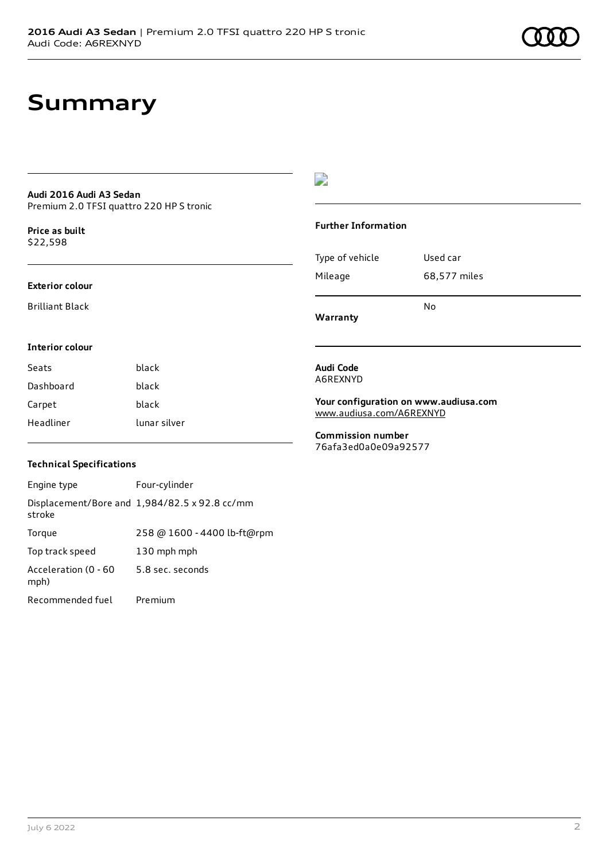### **Summary**

#### **Audi 2016 Audi A3 Sedan** Premium 2.0 TFSI quattro 220 HP S tronic

**Price as buil[t](#page-10-0)** \$22,598

#### **Exterior colour**

Brilliant Black

**Interior colour**

### $\overline{\phantom{a}}$

#### **Further Information**

|                 | N٥           |
|-----------------|--------------|
| Mileage         | 68,577 miles |
| Type of vehicle | Used car     |

**Warranty**

**Audi Code** A6REXNYD

**Your configuration on www.audiusa.com** [www.audiusa.com/A6REXNYD](https://www.audiusa.com/A6REXNYD)

**Commission number** 76afa3ed0a0e09a92577

#### **Technical Specifications**

Seats **black** Dashboard black Carpet black

Headliner lunar silver

| Engine type                  | Four-cylinder                                 |
|------------------------------|-----------------------------------------------|
| stroke                       | Displacement/Bore and 1,984/82.5 x 92.8 cc/mm |
| Torque                       | 258 @ 1600 - 4400 lb-ft@rpm                   |
| Top track speed              | 130 mph mph                                   |
| Acceleration (0 - 60<br>mph) | 5.8 sec. seconds                              |
| Recommended fuel             | Premium                                       |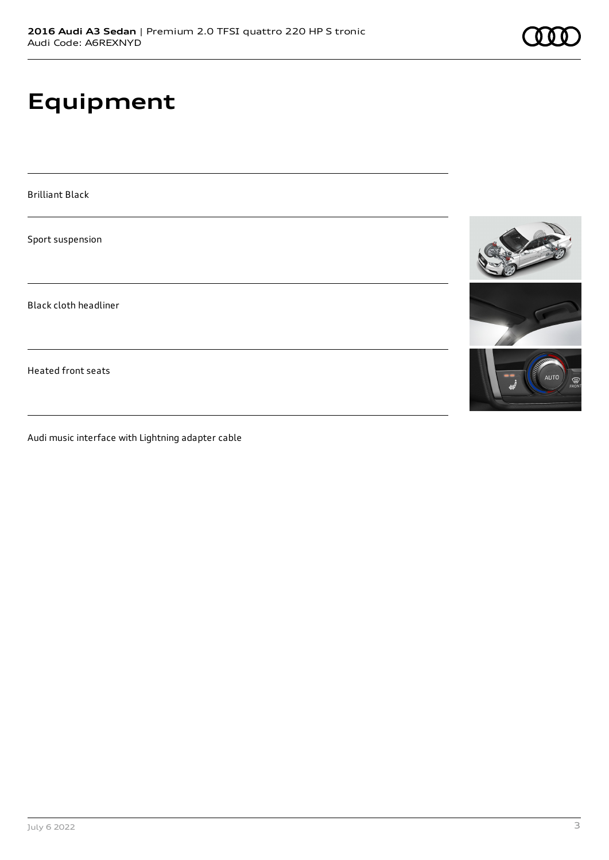## **Equipment**

Brilliant Black

Sport suspension

Black cloth headliner

Heated front seats

Audi music interface with Lightning adapter cable



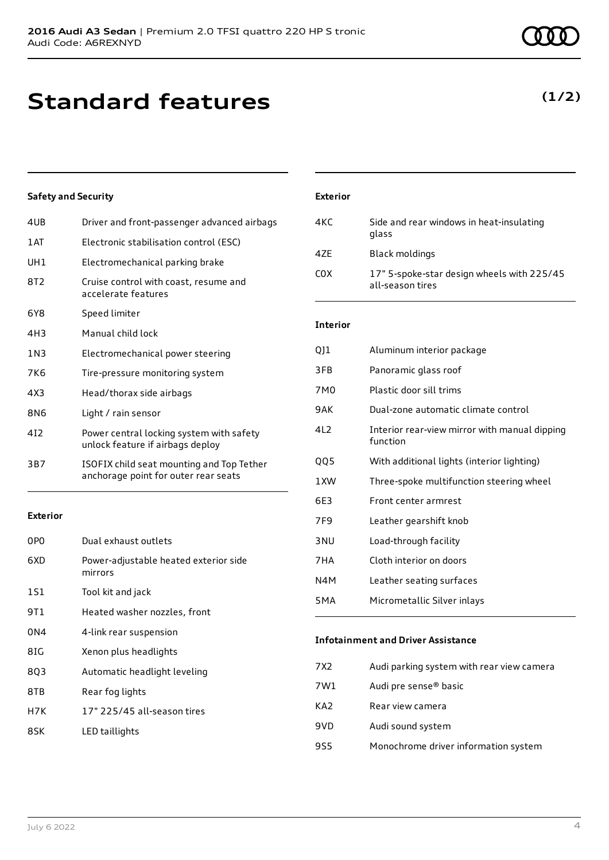### **Standard features**

### **Safety and Security**

| 4UB   | Driver and front-passenger advanced airbags                                       |
|-------|-----------------------------------------------------------------------------------|
| 1AT   | Electronic stabilisation control (ESC)                                            |
| UH1   | Electromechanical parking brake                                                   |
| 8T2   | Cruise control with coast, resume and<br>accelerate features                      |
| 6Y8   | Speed limiter                                                                     |
| 4H3   | Manual child lock                                                                 |
| 1 N 3 | Electromechanical power steering                                                  |
| 7K6   | Tire-pressure monitoring system                                                   |
| 4X3   | Head/thorax side airbags                                                          |
| 8N6   | Light / rain sensor                                                               |
| 412   | Power central locking system with safety<br>unlock feature if airbags deploy      |
| 3B7   | ISOFIX child seat mounting and Top Tether<br>anchorage point for outer rear seats |

#### **Exterior**

| 0PO | Dual exhaust outlets                             |
|-----|--------------------------------------------------|
| 6XD | Power-adjustable heated exterior side<br>mirrors |
| 1S1 | Tool kit and jack                                |
| 9T1 | Heated washer nozzles, front                     |
| 0N4 | 4-link rear suspension                           |
| 8IG | Xenon plus headlights                            |
| 8Q3 | Automatic headlight leveling                     |
| 8TB | Rear fog lights                                  |
| H7K | 17" 225/45 all-season tires                      |
| 8SK | LED taillights                                   |

# **Interior**

**Exterior**

| QJ1              | Aluminum interior package                                 |
|------------------|-----------------------------------------------------------|
| 3FB              | Panoramic glass roof                                      |
| 7M0              | Plastic door sill trims                                   |
| 9AK              | Dual-zone automatic climate control                       |
| 4L <sub>2</sub>  | Interior rear-view mirror with manual dipping<br>function |
| QQ5              | With additional lights (interior lighting)                |
| 1XW              | Three-spoke multifunction steering wheel                  |
| 6E3              | Front center armrest                                      |
| 7F9              | Leather gearshift knob                                    |
| 3 <sub>NU</sub>  | Load-through facility                                     |
| 7HA              | Cloth interior on doors                                   |
| N4M              | Leather seating surfaces                                  |
| 5 <sub>M</sub> A | Micrometallic Silver inlays                               |
|                  |                                                           |

4KC Side and rear windows in heat-insulating

C0X 17" 5-spoke-star design wheels with 225/45

glass

all-season tires

4ZE Black moldings

#### **Infotainment and Driver Assistance**

| 7X2 | Audi parking system with rear view camera |
|-----|-------------------------------------------|
| 7W1 | Audi pre sense <sup>®</sup> basic         |
| KA2 | Rear view camera                          |
| 9VD | Audi sound system                         |
| 9S5 | Monochrome driver information system      |
|     |                                           |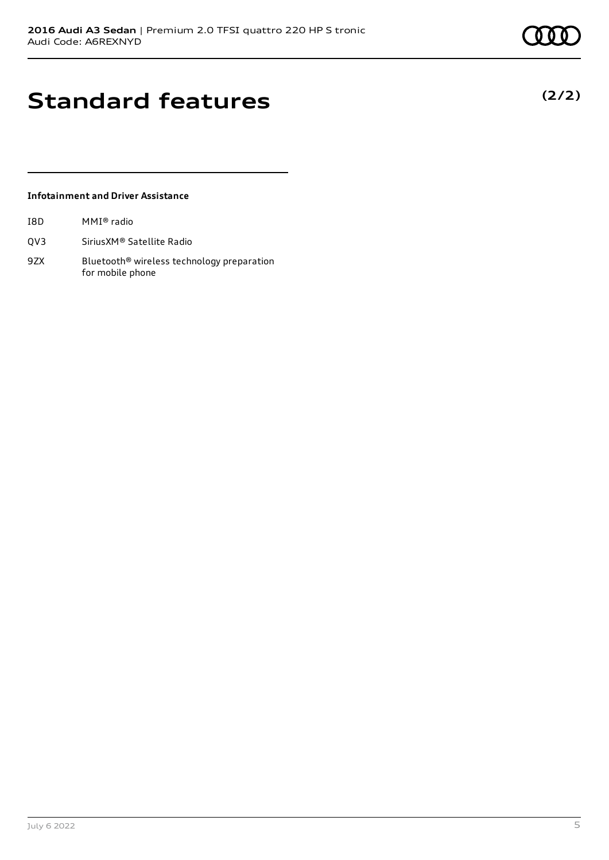**(2/2)**

### **Standard features**

### **Infotainment and Driver Assistance**

| I8D | MMI® radio |  |
|-----|------------|--|
|-----|------------|--|

- QV3 SiriusXM® Satellite Radio
- 9ZX Bluetooth<sup>®</sup> wireless technology preparation for mobile phone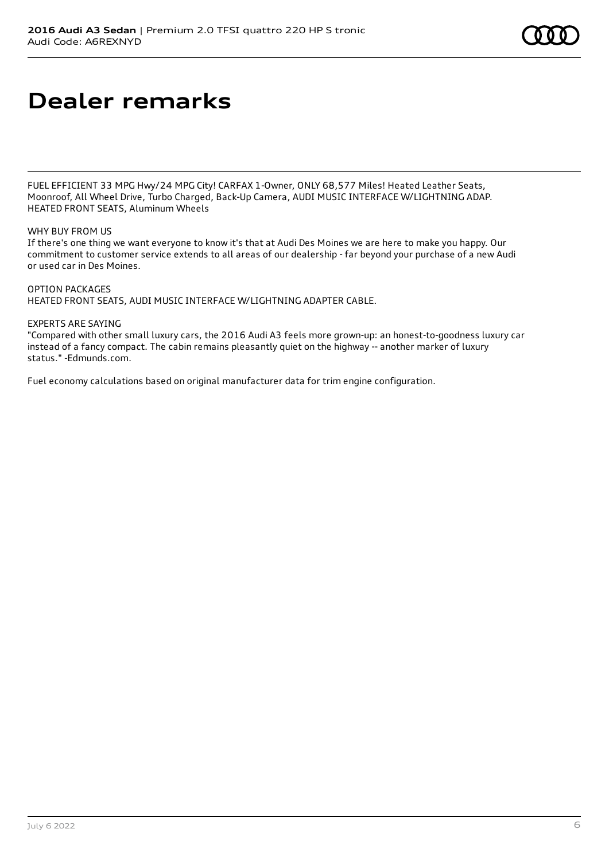## **Dealer remarks**

FUEL EFFICIENT 33 MPG Hwy/24 MPG City! CARFAX 1-Owner, ONLY 68,577 Miles! Heated Leather Seats, Moonroof, All Wheel Drive, Turbo Charged, Back-Up Camera, AUDI MUSIC INTERFACE W/LIGHTNING ADAP. HEATED FRONT SEATS, Aluminum Wheels

### WHY BUY FROM US

If there's one thing we want everyone to know it's that at Audi Des Moines we are here to make you happy. Our commitment to customer service extends to all areas of our dealership - far beyond your purchase of a new Audi or used car in Des Moines.

#### OPTION PACKAGES

HEATED FRONT SEATS, AUDI MUSIC INTERFACE W/LIGHTNING ADAPTER CABLE.

#### EXPERTS ARE SAYING

"Compared with other small luxury cars, the 2016 Audi A3 feels more grown-up: an honest-to-goodness luxury car instead of a fancy compact. The cabin remains pleasantly quiet on the highway -- another marker of luxury status." -Edmunds.com.

Fuel economy calculations based on original manufacturer data for trim engine configuration.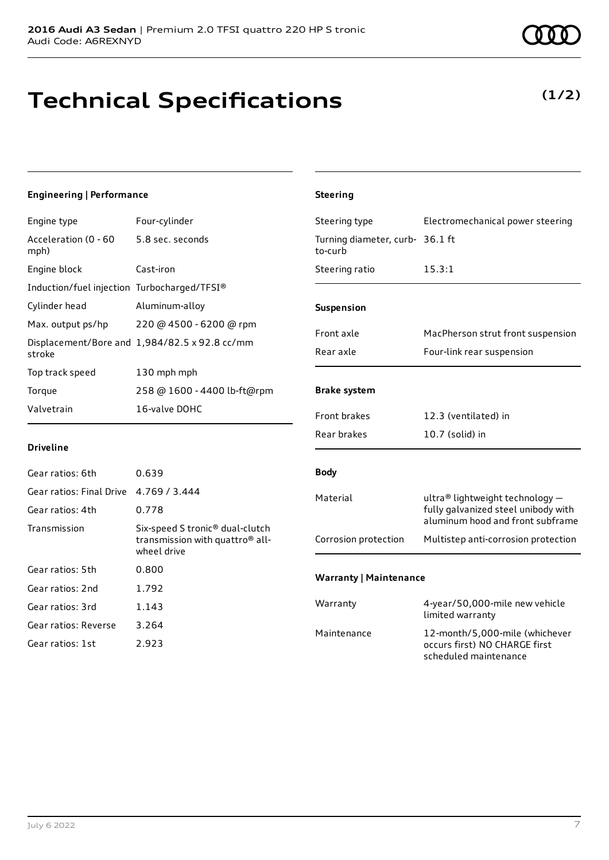### **Technical Specifications**

### **(1/2)**

#### **Engineering | Performance** Engine type Four-cylinder Acceleration (0 - 60 mph) 5.8 sec. seconds Engine block Cast-iron Induction/fuel injection Turbocharged/TFSI® Cylinder head Aluminum-alloy Max. output ps/hp 220 @ 4500 - 6200 @ rpm Displacement/Bore and 1,984/82.5 x 92.8 cc/mm stroke Top track speed 130 mph mph Torque 258 @ 1600 - 4400 lb-ft@rpm Valvetrain 16-valve DOHC **Driveline** Gear ratios: 6th 0.639 Gear ratios: Final Drive 4.769 / 3.444 Gear ratios: 4th 0.778 Transmission Six-speed S tronic® dual-clutch transmission with quattro® allwheel drive Gear ratios: 5th 0.800 Gear ratios: 2nd 1.792 Gear ratios: 3rd 1.143 **Steering** Steering type Electromechanical power steering Turning diameter, curb-36.1 ft to-curb Steering ratio 15.3:1 **Suspension** Front axle MacPherson strut front suspension Rear axle Four-link rear suspension **Brake system** Front brakes 12.3 (ventilated) in Rear brakes 10.7 (solid) in **Body** Material ultra® lightweight technology – fully galvanized steel unibody with aluminum hood and front subframe Corrosion protection Multistep anti-corrosion protection **Warranty | Maintenance** Warranty 4-year/50,000-mile new vehicle limited warranty

Gear ratios: Reverse 3.264 Gear ratios: 1st 2.923

Maintenance 12-month/5,000-mile (whichever

occurs first) NO CHARGE first scheduled maintenance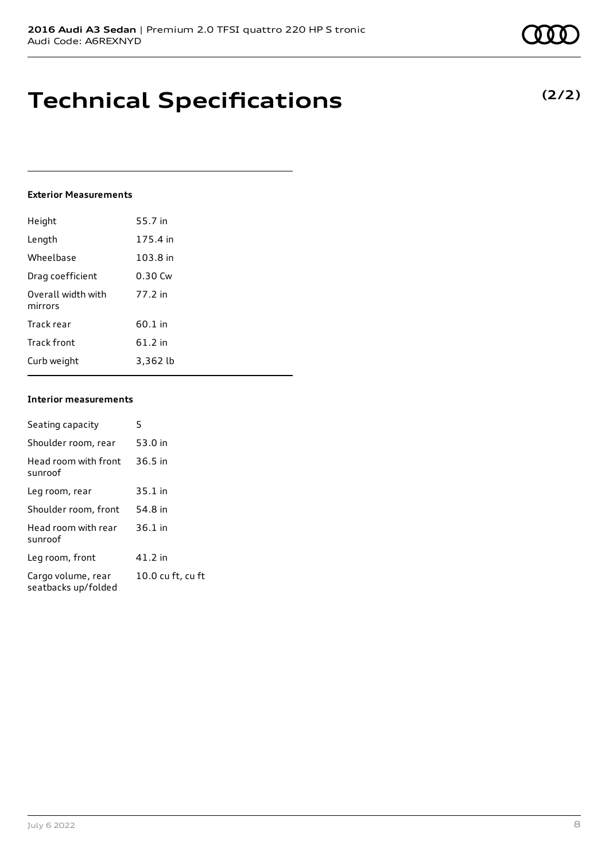### **Technical Specifications**

#### **Exterior Measurements**

| Height                        | 55.7 in  |
|-------------------------------|----------|
| Length                        | 175.4 in |
| Wheelbase                     | 103.8 in |
| Drag coefficient              | 0.30 Cw  |
| Overall width with<br>mirrors | 77.2 in  |
| Track rear                    | 60.1 in  |
| Track front                   | 61.2 in  |
| Curb weight                   | 3,362 lb |

### **Interior measurements**

| Seating capacity                          | 5                 |
|-------------------------------------------|-------------------|
| Shoulder room, rear                       | 53.0 in           |
| Head room with front<br>sunroof           | $36.5$ in         |
| Leg room, rear                            | $35.1$ in         |
| Shoulder room, front                      | 54.8 in           |
| Head room with rear<br>sunroof            | $36.1$ in         |
| Leg room, front                           | 41.2 in           |
| Cargo volume, rear<br>seatbacks up/folded | 10.0 cu ft, cu ft |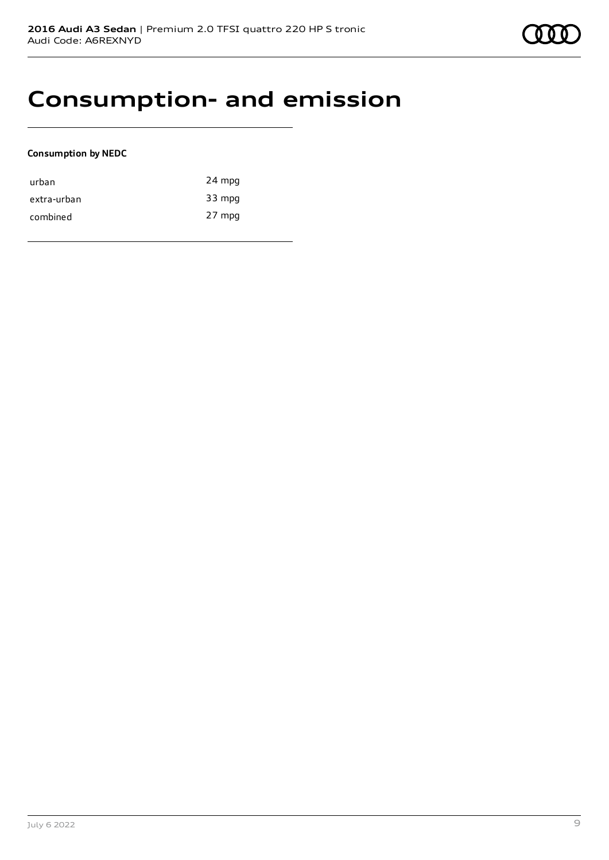

### **Consumption- and emission**

### **Consumption by NEDC**

| urban       | 24 mpg |
|-------------|--------|
| extra-urban | 33 mpg |
| combined    | 27 mpg |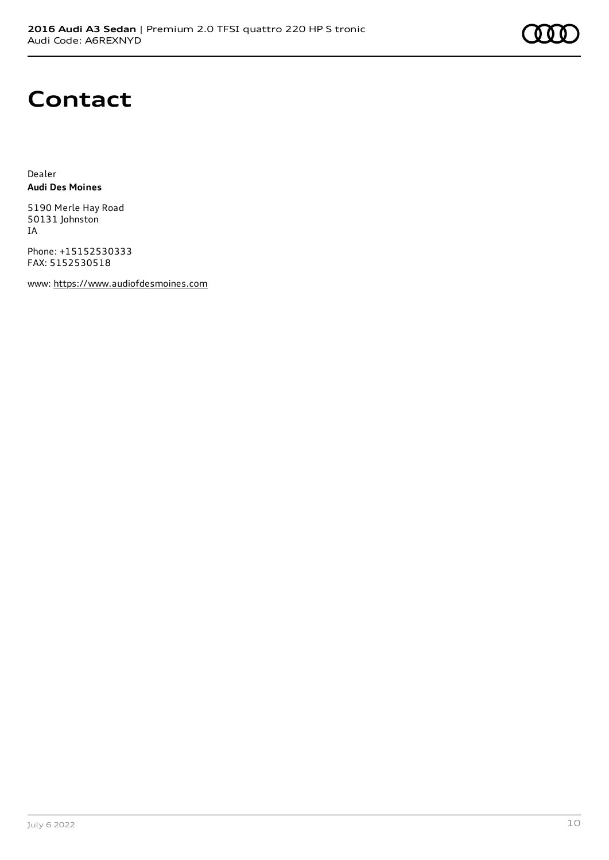

### **Contact**

Dealer **Audi Des Moines**

5190 Merle Hay Road 50131 Johnston IA

Phone: +15152530333 FAX: 5152530518

www: [https://www.audiofdesmoines.com](https://www.audiofdesmoines.com/)